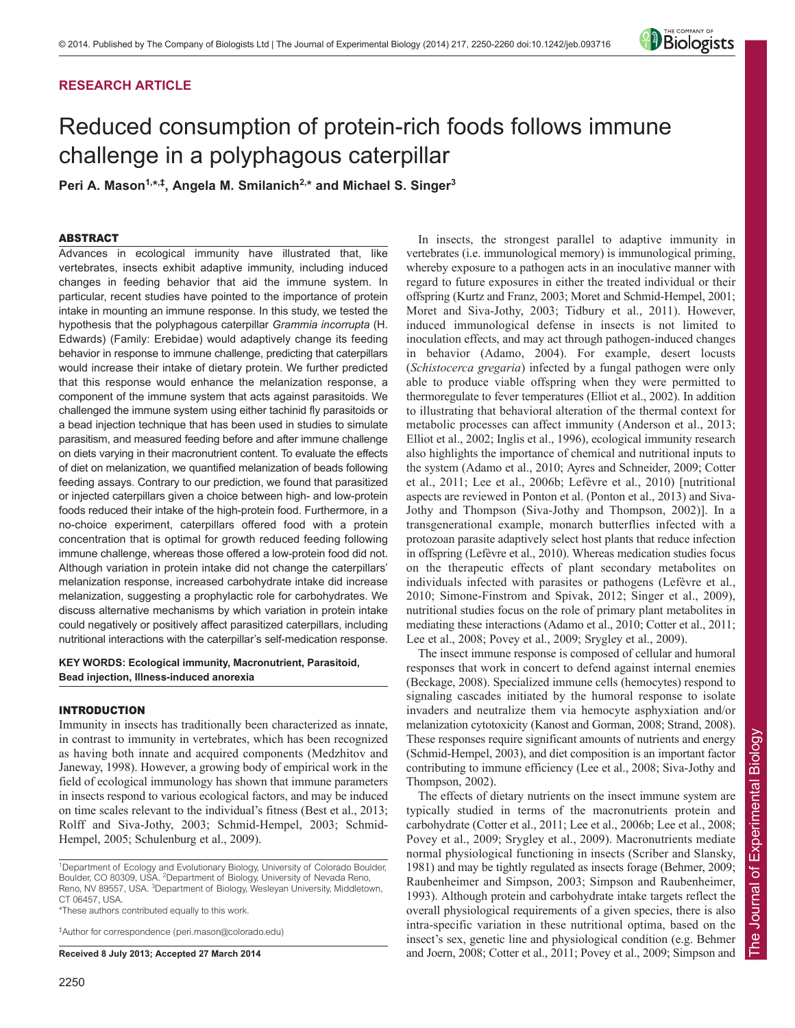# **RESEARCH ARTICLE**

# *Biologists*

# Reduced consumption of protein-rich foods follows immune challenge in a polyphagous caterpillar

Peri A. Mason<sup>1,\*,‡</sup>, Angela M. Smilanich<sup>2,\*</sup> and Michael S. Singer<sup>3</sup>

# ABSTRACT

Advances in ecological immunity have illustrated that, like vertebrates, insects exhibit adaptive immunity, including induced changes in feeding behavior that aid the immune system. In particular, recent studies have pointed to the importance of protein intake in mounting an immune response. In this study, we tested the hypothesis that the polyphagous caterpillar *Grammia incorrupta* (H. Edwards) (Family: Erebidae) would adaptively change its feeding behavior in response to immune challenge, predicting that caterpillars would increase their intake of dietary protein. We further predicted that this response would enhance the melanization response, a component of the immune system that acts against parasitoids. We challenged the immune system using either tachinid fly parasitoids or a bead injection technique that has been used in studies to simulate parasitism, and measured feeding before and after immune challenge on diets varying in their macronutrient content. To evaluate the effects of diet on melanization, we quantified melanization of beads following feeding assays. Contrary to our prediction, we found that parasitized or injected caterpillars given a choice between high- and low-protein foods reduced their intake of the high-protein food. Furthermore, in a no-choice experiment, caterpillars offered food with a protein concentration that is optimal for growth reduced feeding following immune challenge, whereas those offered a low-protein food did not. Although variation in protein intake did not change the caterpillars' melanization response, increased carbohydrate intake did increase melanization, suggesting a prophylactic role for carbohydrates. We discuss alternative mechanisms by which variation in protein intake could negatively or positively affect parasitized caterpillars, including nutritional interactions with the caterpillar's self-medication response.

**KEY WORDS: Ecological immunity, Macronutrient, Parasitoid, Bead injection, Illness-induced anorexia**

# INTRODUCTION

Immunity in insects has traditionally been characterized as innate, in contrast to immunity in vertebrates, which has been recognized as having both innate and acquired components (Medzhitov and Janeway, 1998). However, a growing body of empirical work in the field of ecological immunology has shown that immune parameters in insects respond to various ecological factors, and may be induced on time scales relevant to the individual's fitness (Best et al., 2013; Rolff and Siva-Jothy, 2003; Schmid-Hempel, 2003; Schmid-Hempel, 2005; Schulenburg et al., 2009).

<sup>1</sup>Department of Ecology and Evolutionary Biology, University of Colorado Boulder, Boulder, CO 80309, USA. <sup>2</sup>Department of Biology, University of Nevada Reno, Reno, NV 89557, USA. <sup>3</sup>Department of Biology, Wesleyan University, Middletown, CT 06457, USA.

\*These authors contributed equally to this work.

‡ Author for correspondence (peri.mason@colorado.edu)

**Received 8 July 2013; Accepted 27 March 2014**

2250

In insects, the strongest parallel to adaptive immunity in vertebrates (i.e. immunological memory) is immunological priming, whereby exposure to a pathogen acts in an inoculative manner with regard to future exposures in either the treated individual or their offspring (Kurtz and Franz, 2003; Moret and Schmid-Hempel, 2001; Moret and Siva-Jothy, 2003; Tidbury et al., 2011). However, induced immunological defense in insects is not limited to inoculation effects, and may act through pathogen-induced changes in behavior (Adamo, 2004). For example, desert locusts (*Schistocerca gregaria*) infected by a fungal pathogen were only able to produce viable offspring when they were permitted to thermoregulate to fever temperatures (Elliot et al., 2002). In addition to illustrating that behavioral alteration of the thermal context for metabolic processes can affect immunity (Anderson et al., 2013; Elliot et al., 2002; Inglis et al., 1996), ecological immunity research also highlights the importance of chemical and nutritional inputs to the system (Adamo et al., 2010; Ayres and Schneider, 2009; Cotter et al., 2011; Lee et al., 2006b; Lefèvre et al., 2010) [nutritional aspects are reviewed in Ponton et al. (Ponton et al., 2013) and Siva-Jothy and Thompson (Siva-Jothy and Thompson, 2002)]. In a transgenerational example, monarch butterflies infected with a protozoan parasite adaptively select host plants that reduce infection in offspring (Lefèvre et al., 2010). Whereas medication studies focus on the therapeutic effects of plant secondary metabolites on individuals infected with parasites or pathogens (Lefèvre et al., 2010; Simone-Finstrom and Spivak, 2012; Singer et al., 2009), nutritional studies focus on the role of primary plant metabolites in mediating these interactions (Adamo et al., 2010; Cotter et al., 2011; Lee et al., 2008; Povey et al., 2009; Srygley et al., 2009).

The insect immune response is composed of cellular and humoral responses that work in concert to defend against internal enemies (Beckage, 2008). Specialized immune cells (hemocytes) respond to signaling cascades initiated by the humoral response to isolate invaders and neutralize them via hemocyte asphyxiation and/or melanization cytotoxicity (Kanost and Gorman, 2008; Strand, 2008). These responses require significant amounts of nutrients and energy (Schmid-Hempel, 2003), and diet composition is an important factor contributing to immune efficiency (Lee et al., 2008; Siva-Jothy and Thompson, 2002).

The effects of dietary nutrients on the insect immune system are typically studied in terms of the macronutrients protein and carbohydrate (Cotter et al., 2011; Lee et al., 2006b; Lee et al., 2008; Povey et al., 2009; Srygley et al., 2009). Macronutrients mediate normal physiological functioning in insects (Scriber and Slansky, 1981) and may be tightly regulated as insects forage (Behmer, 2009; Raubenheimer and Simpson, 2003; Simpson and Raubenheimer, 1993). Although protein and carbohydrate intake targets reflect the overall physiological requirements of a given species, there is also intra-specific variation in these nutritional optima, based on the insect's sex, genetic line and physiological condition (e.g. Behmer and Joern, 2008; Cotter et al., 2011; Povey et al., 2009; Simpson and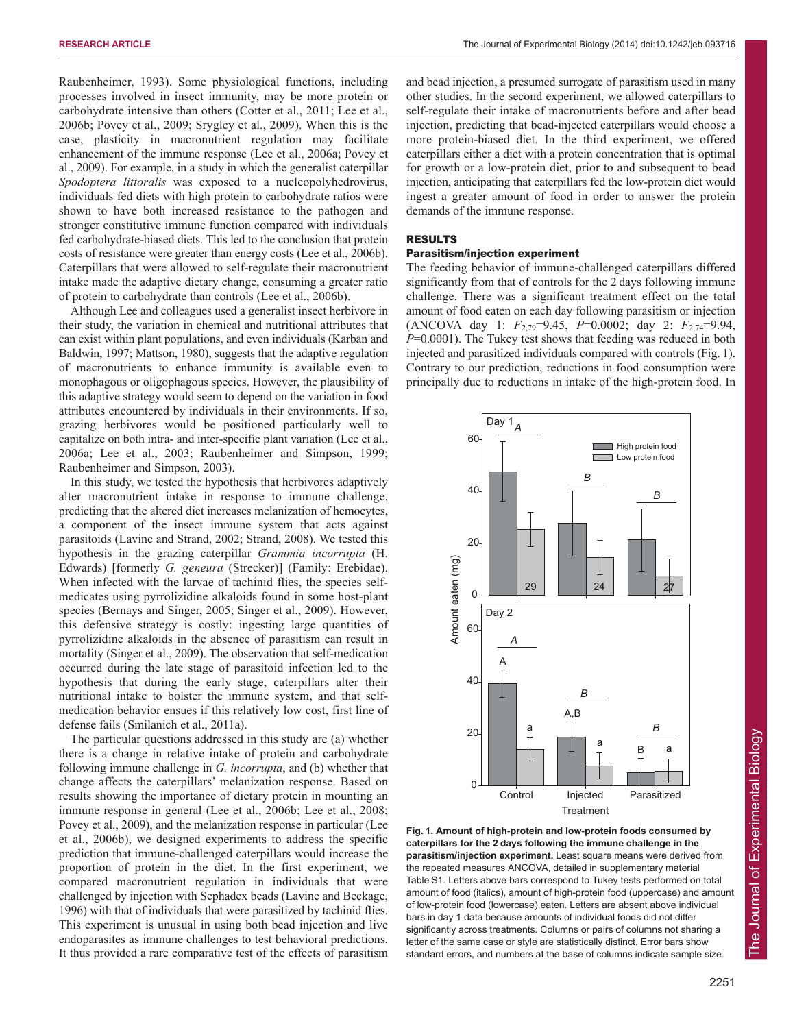Raubenheimer, 1993). Some physiological functions, including processes involved in insect immunity, may be more protein or carbohydrate intensive than others (Cotter et al., 2011; Lee et al., 2006b; Povey et al., 2009; Srygley et al., 2009). When this is the case, plasticity in macronutrient regulation may facilitate enhancement of the immune response (Lee et al., 2006a; Povey et al., 2009). For example, in a study in which the generalist caterpillar *Spodoptera littoralis* was exposed to a nucleopolyhedrovirus, individuals fed diets with high protein to carbohydrate ratios were shown to have both increased resistance to the pathogen and stronger constitutive immune function compared with individuals fed carbohydrate-biased diets. This led to the conclusion that protein costs of resistance were greater than energy costs (Lee et al., 2006b). Caterpillars that were allowed to self-regulate their macronutrient intake made the adaptive dietary change, consuming a greater ratio of protein to carbohydrate than controls (Lee et al., 2006b).

Although Lee and colleagues used a generalist insect herbivore in their study, the variation in chemical and nutritional attributes that can exist within plant populations, and even individuals (Karban and Baldwin, 1997; Mattson, 1980), suggests that the adaptive regulation of macronutrients to enhance immunity is available even to monophagous or oligophagous species. However, the plausibility of this adaptive strategy would seem to depend on the variation in food attributes encountered by individuals in their environments. If so, grazing herbivores would be positioned particularly well to capitalize on both intra- and inter-specific plant variation (Lee et al., 2006a; Lee et al., 2003; Raubenheimer and Simpson, 1999; Raubenheimer and Simpson, 2003).

In this study, we tested the hypothesis that herbivores adaptively alter macronutrient intake in response to immune challenge, predicting that the altered diet increases melanization of hemocytes, a component of the insect immune system that acts against parasitoids (Lavine and Strand, 2002; Strand, 2008). We tested this hypothesis in the grazing caterpillar *Grammia incorrupta* (H. Edwards) [formerly *G. geneura* (Strecker)] (Family: Erebidae). When infected with the larvae of tachinid flies, the species selfmedicates using pyrrolizidine alkaloids found in some host-plant species (Bernays and Singer, 2005; Singer et al., 2009). However, this defensive strategy is costly: ingesting large quantities of pyrrolizidine alkaloids in the absence of parasitism can result in mortality (Singer et al., 2009). The observation that self-medication occurred during the late stage of parasitoid infection led to the hypothesis that during the early stage, caterpillars alter their nutritional intake to bolster the immune system, and that selfmedication behavior ensues if this relatively low cost, first line of defense fails (Smilanich et al., 2011a).

The particular questions addressed in this study are (a) whether there is a change in relative intake of protein and carbohydrate following immune challenge in *G. incorrupta*, and (b) whether that change affects the caterpillars' melanization response. Based on results showing the importance of dietary protein in mounting an immune response in general (Lee et al., 2006b; Lee et al., 2008; Povey et al., 2009), and the melanization response in particular (Lee et al., 2006b), we designed experiments to address the specific prediction that immune-challenged caterpillars would increase the proportion of protein in the diet. In the first experiment, we compared macronutrient regulation in individuals that were challenged by injection with Sephadex beads (Lavine and Beckage, 1996) with that of individuals that were parasitized by tachinid flies. This experiment is unusual in using both bead injection and live endoparasites as immune challenges to test behavioral predictions. It thus provided a rare comparative test of the effects of parasitism and bead injection, a presumed surrogate of parasitism used in many other studies. In the second experiment, we allowed caterpillars to self-regulate their intake of macronutrients before and after bead injection, predicting that bead-injected caterpillars would choose a more protein-biased diet. In the third experiment, we offered caterpillars either a diet with a protein concentration that is optimal for growth or a low-protein diet, prior to and subsequent to bead injection, anticipating that caterpillars fed the low-protein diet would ingest a greater amount of food in order to answer the protein demands of the immune response.

# RESULTS

# Parasitism/injection experiment

The feeding behavior of immune-challenged caterpillars differed significantly from that of controls for the 2 days following immune challenge. There was a significant treatment effect on the total amount of food eaten on each day following parasitism or injection (ANCOVA day 1: *F*2,79=9.45, *P*=0.0002; day 2: *F*2,74=9.94, *P*=0.0001). The Tukey test shows that feeding was reduced in both injected and parasitized individuals compared with controls (Fig. 1). Contrary to our prediction, reductions in food consumption were principally due to reductions in intake of the high-protein food. In



**Fig. 1. Amount of high-protein and low-protein foods consumed by caterpillars for the 2 days following the immune challenge in the parasitism/injection experiment.** Least square means were derived from the repeated measures ANCOVA, detailed in supplementary material Table S1. Letters above bars correspond to Tukey tests performed on total amount of food (italics), amount of high-protein food (uppercase) and amount of low-protein food (lowercase) eaten. Letters are absent above individual bars in day 1 data because amounts of individual foods did not differ significantly across treatments. Columns or pairs of columns not sharing a letter of the same case or style are statistically distinct. Error bars show standard errors, and numbers at the base of columns indicate sample size.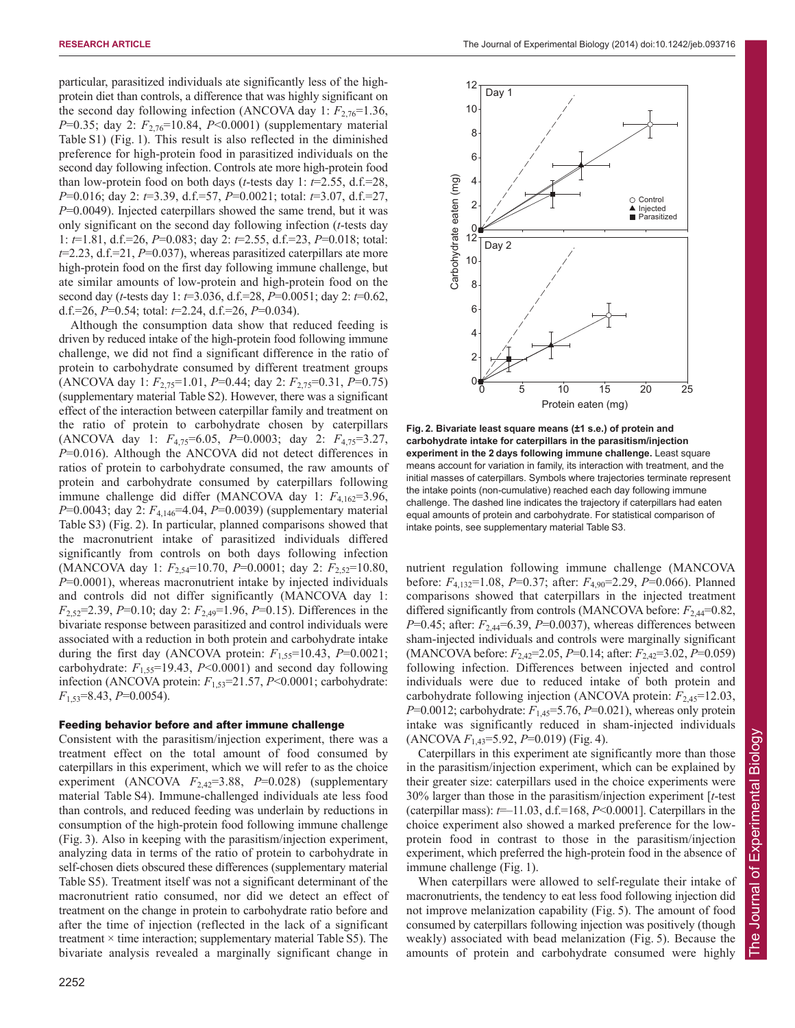particular, parasitized individuals ate significantly less of the highprotein diet than controls, a difference that was highly significant on the second day following infection (ANCOVA day 1:  $F_{2,76}$ =1.36, *P*=0.35; day 2:  $F_{2,76}$ =10.84, *P*<0.0001) (supplementary material Table S1) (Fig. 1). This result is also reflected in the diminished preference for high-protein food in parasitized individuals on the second day following infection. Controls ate more high-protein food than low-protein food on both days (*t*-tests day 1:  $t=2.55$ , d.f.=28, *P*=0.016; day 2: *t*=3.39, d.f.=57, *P*=0.0021; total: *t*=3.07, d.f.=27, *P*=0.0049). Injected caterpillars showed the same trend, but it was only significant on the second day following infection (*t*-tests day 1: *t*=1.81, d.f.=26, *P*=0.083; day 2: *t*=2.55, d.f.=23, *P*=0.018; total: *t*=2.23, d.f.=21, *P*=0.037), whereas parasitized caterpillars ate more high-protein food on the first day following immune challenge, but ate similar amounts of low-protein and high-protein food on the second day (*t*-tests day 1: *t*=3.036, d.f.=28, *P*=0.0051; day 2: *t*=0.62, d.f.=26, *P*=0.54; total: *t*=2.24, d.f.=26, *P*=0.034).

Although the consumption data show that reduced feeding is driven by reduced intake of the high-protein food following immune challenge, we did not find a significant difference in the ratio of protein to carbohydrate consumed by different treatment groups (ANCOVA day 1: *F*2,75=1.01, *P*=0.44; day 2: *F*2,75=0.31, *P*=0.75) (supplementary material Table S2). However, there was a significant effect of the interaction between caterpillar family and treatment on the ratio of protein to carbohydrate chosen by caterpillars (ANCOVA day 1: *F*4,75=6.05, *P*=0.0003; day 2: *F*4,75=3.27, *P*=0.016). Although the ANCOVA did not detect differences in ratios of protein to carbohydrate consumed, the raw amounts of protein and carbohydrate consumed by caterpillars following immune challenge did differ (MANCOVA day 1:  $F_{4,162}=3.96$ , *P*=0.0043; day 2:  $F_{4,146}$ =4.04, *P*=0.0039) (supplementary material Table S3) (Fig. 2). In particular, planned comparisons showed that the macronutrient intake of parasitized individuals differed significantly from controls on both days following infection (MANCOVA day 1: *F*2,54=10.70, *P*=0.0001; day 2: *F*2,52=10.80, *P*=0.0001), whereas macronutrient intake by injected individuals and controls did not differ significantly (MANCOVA day 1: *F*2,52=2.39, *P*=0.10; day 2: *F*2,49=1.96, *P*=0.15). Differences in the bivariate response between parasitized and control individuals were associated with a reduction in both protein and carbohydrate intake during the first day (ANCOVA protein:  $F_{1.55}=10.43$ ,  $P=0.0021$ ; carbohydrate:  $F_{1.55}$ =19.43,  $P$ <0.0001) and second day following infection (ANCOVA protein: *F*1,53=21.57, *P*<0.0001; carbohydrate: *F*1,53=8.43, *P*=0.0054).

## Feeding behavior before and after immune challenge

Consistent with the parasitism/injection experiment, there was a treatment effect on the total amount of food consumed by caterpillars in this experiment, which we will refer to as the choice experiment (ANCOVA  $F_{2,42}=3.88$ ,  $P=0.028$ ) (supplementary material Table S4). Immune-challenged individuals ate less food than controls, and reduced feeding was underlain by reductions in consumption of the high-protein food following immune challenge (Fig. 3). Also in keeping with the parasitism/injection experiment, analyzing data in terms of the ratio of protein to carbohydrate in self-chosen diets obscured these differences (supplementary material Table S5). Treatment itself was not a significant determinant of the macronutrient ratio consumed, nor did we detect an effect of treatment on the change in protein to carbohydrate ratio before and after the time of injection (reflected in the lack of a significant treatment  $\times$  time interaction; supplementary material Table S5). The bivariate analysis revealed a marginally significant change in



**Fig. 2. Bivariate least square means (±1 s.e.) of protein and carbohydrate intake for caterpillars in the parasitism/injection experiment in the 2 days following immune challenge.** Least square means account for variation in family, its interaction with treatment, and the initial masses of caterpillars. Symbols where trajectories terminate represent the intake points (non-cumulative) reached each day following immune challenge. The dashed line indicates the trajectory if caterpillars had eaten equal amounts of protein and carbohydrate. For statistical comparison of intake points, see supplementary material Table S3.

nutrient regulation following immune challenge (MANCOVA before: *F*4,132=1.08, *P*=0.37; after: *F*4,90=2.29, *P*=0.066). Planned comparisons showed that caterpillars in the injected treatment differed significantly from controls (MANCOVA before:  $F_{2,44}=0.82$ , *P*=0.45; after:  $F_{2,44}$ =6.39, *P*=0.0037), whereas differences between sham-injected individuals and controls were marginally significant (MANCOVA before: *F*2,42=2.05, *P*=0.14; after: *F*2,42=3.02, *P*=0.059) following infection. Differences between injected and control individuals were due to reduced intake of both protein and carbohydrate following injection (ANCOVA protein: *F*2,45=12.03, *P*=0.0012; carbohydrate:  $F_{1,45}$ =5.76, *P*=0.021), whereas only protein intake was significantly reduced in sham-injected individuals (ANCOVA *F*1,43=5.92, *P*=0.019) (Fig. 4).

Caterpillars in this experiment ate significantly more than those in the parasitism/injection experiment, which can be explained by their greater size: caterpillars used in the choice experiments were 30% larger than those in the parasitism/injection experiment [*t*-test (caterpillar mass):  $t=11.03$ , d.f.=168,  $P<0.0001$ ]. Caterpillars in the choice experiment also showed a marked preference for the lowprotein food in contrast to those in the parasitism/injection experiment, which preferred the high-protein food in the absence of immune challenge (Fig. 1).

When caterpillars were allowed to self-regulate their intake of macronutrients, the tendency to eat less food following injection did not improve melanization capability (Fig. 5). The amount of food consumed by caterpillars following injection was positively (though weakly) associated with bead melanization (Fig. 5). Because the amounts of protein and carbohydrate consumed were highly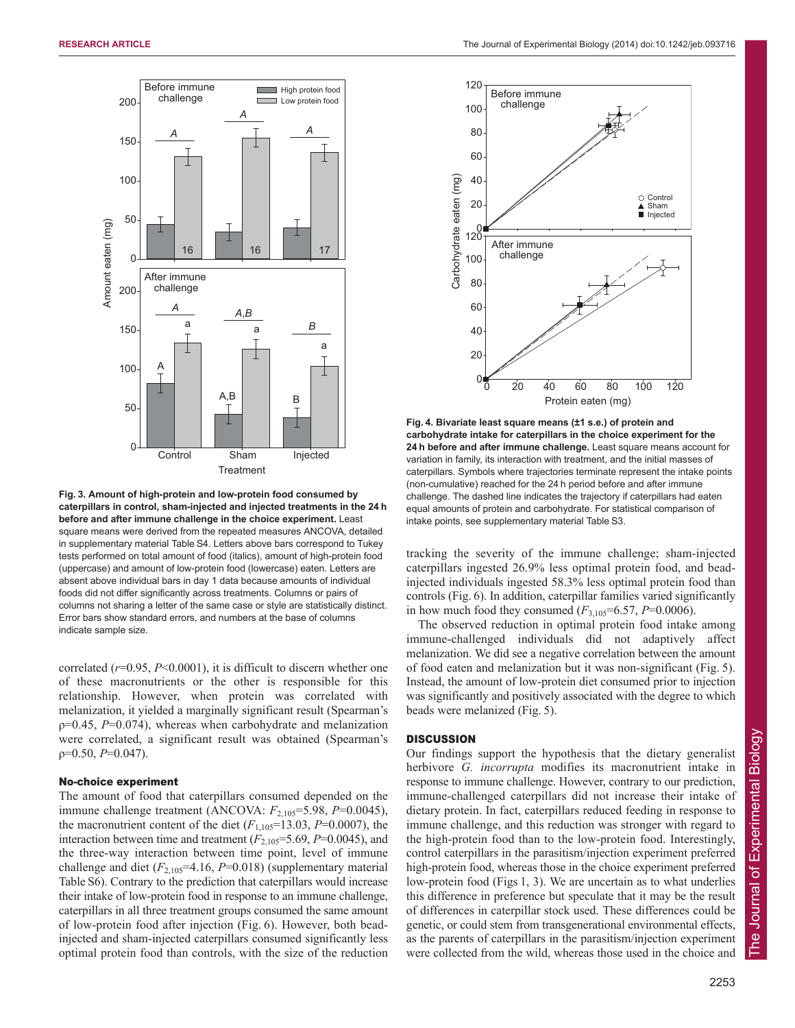

**Fig. 3. Amount of high-protein and low-protein food consumed by caterpillars in control, sham-injected and injected treatments in the 24 h before and after immune challenge in the choice experiment.** Least square means were derived from the repeated measures ANCOVA, detailed in supplementary material Table S4. Letters above bars correspond to Tukey tests performed on total amount of food (italics), amount of high-protein food (uppercase) and amount of low-protein food (lowercase) eaten. Letters are absent above individual bars in day 1 data because amounts of individual foods did not differ significantly across treatments. Columns or pairs of columns not sharing a letter of the same case or style are statistically distinct. Error bars show standard errors, and numbers at the base of columns indicate sample size.

correlated  $(r=0.95, P<0.0001)$ , it is difficult to discern whether one of these macronutrients or the other is responsible for this relationship. However, when protein was correlated with melanization, it yielded a marginally significant result (Spearman's ρ=0.45, *P*=0.074), whereas when carbohydrate and melanization were correlated, a significant result was obtained (Spearman's ρ=0.50, *P*=0.047).

# No-choice experiment

The amount of food that caterpillars consumed depended on the immune challenge treatment (ANCOVA:  $F_{2,105}$ =5.98, *P*=0.0045), the macronutrient content of the diet  $(F_{1,105}=13.03, P=0.0007)$ , the interaction between time and treatment  $(F_{2,105}=5.69, P=0.0045)$ , and the three-way interaction between time point, level of immune challenge and diet  $(F_{2,105} = 4.16, P = 0.018)$  (supplementary material Table S6). Contrary to the prediction that caterpillars would increase their intake of low-protein food in response to an immune challenge, caterpillars in all three treatment groups consumed the same amount of low-protein food after injection (Fig. 6). However, both beadinjected and sham-injected caterpillars consumed significantly less optimal protein food than controls, with the size of the reduction



**Fig. 4. Bivariate least square means (±1 s.e.) of protein and carbohydrate intake for caterpillars in the choice experiment for the 24 h before and after immune challenge.** Least square means account for variation in family, its interaction with treatment, and the initial masses of caterpillars. Symbols where trajectories terminate represent the intake points (non-cumulative) reached for the 24 h period before and after immune challenge. The dashed line indicates the trajectory if caterpillars had eaten equal amounts of protein and carbohydrate. For statistical comparison of intake points, see supplementary material Table S3.

tracking the severity of the immune challenge; sham-injected caterpillars ingested 26.9% less optimal protein food, and beadinjected individuals ingested 58.3% less optimal protein food than controls (Fig. 6). In addition, caterpillar families varied significantly in how much food they consumed  $(F_{3,105} = 6.57, P = 0.0006)$ .

The observed reduction in optimal protein food intake among immune-challenged individuals did not adaptively affect melanization. We did see a negative correlation between the amount of food eaten and melanization but it was non-significant (Fig. 5). Instead, the amount of low-protein diet consumed prior to injection was significantly and positively associated with the degree to which beads were melanized (Fig. 5).

# **DISCUSSION**

Our findings support the hypothesis that the dietary generalist herbivore *G. incorrupta* modifies its macronutrient intake in response to immune challenge. However, contrary to our prediction, immune-challenged caterpillars did not increase their intake of dietary protein. In fact, caterpillars reduced feeding in response to immune challenge, and this reduction was stronger with regard to the high-protein food than to the low-protein food. Interestingly, control caterpillars in the parasitism/injection experiment preferred high-protein food, whereas those in the choice experiment preferred low-protein food (Figs 1, 3). We are uncertain as to what underlies this difference in preference but speculate that it may be the result of differences in caterpillar stock used. These differences could be genetic, or could stem from transgenerational environmental effects, as the parents of caterpillars in the parasitism/injection experiment were collected from the wild, whereas those used in the choice and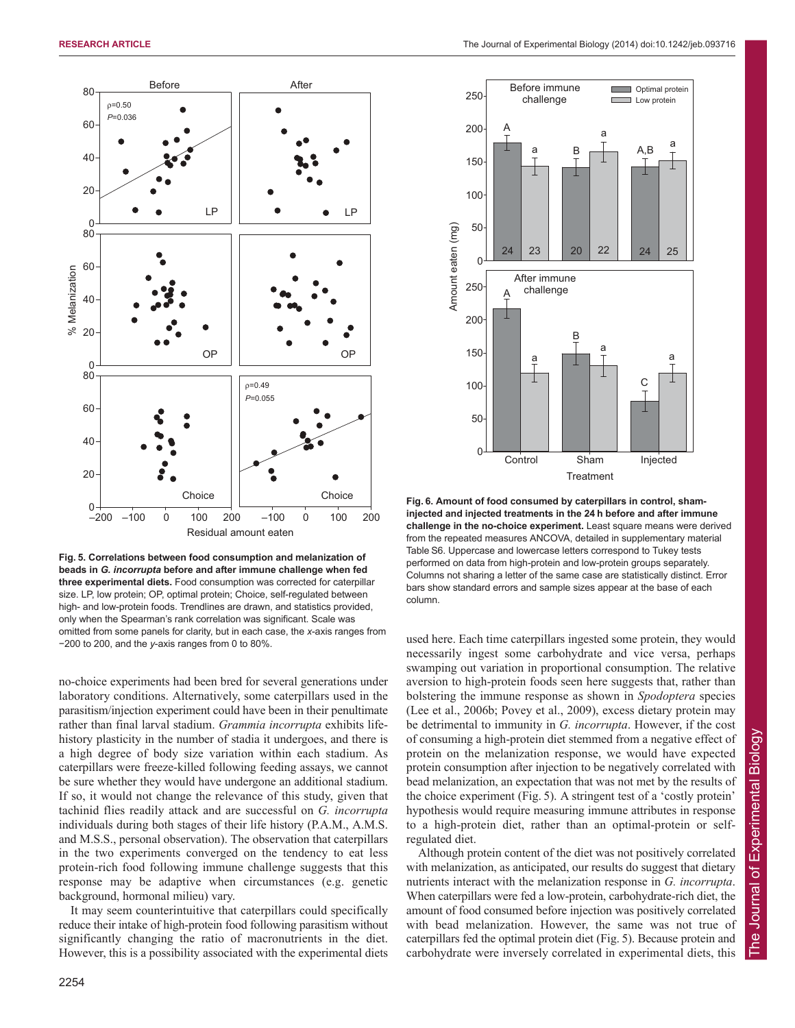

**Fig. 5. Correlations between food consumption and melanization of beads in** *G. incorrupta* **before and after immune challenge when fed three experimental diets.** Food consumption was corrected for caterpillar size. LP, low protein; OP, optimal protein; Choice, self-regulated between high- and low-protein foods. Trendlines are drawn, and statistics provided, only when the Spearman's rank correlation was significant. Scale was omitted from some panels for clarity, but in each case, the *x*-axis ranges from −200 to 200, and the *y*-axis ranges from 0 to 80%.

no-choice experiments had been bred for several generations under laboratory conditions. Alternatively, some caterpillars used in the parasitism/injection experiment could have been in their penultimate rather than final larval stadium. *Grammia incorrupta* exhibits lifehistory plasticity in the number of stadia it undergoes, and there is a high degree of body size variation within each stadium. As caterpillars were freeze-killed following feeding assays, we cannot be sure whether they would have undergone an additional stadium. If so, it would not change the relevance of this study, given that tachinid flies readily attack and are successful on *G. incorrupta* individuals during both stages of their life history (P.A.M., A.M.S. and M.S.S., personal observation). The observation that caterpillars in the two experiments converged on the tendency to eat less protein-rich food following immune challenge suggests that this response may be adaptive when circumstances (e.g. genetic background, hormonal milieu) vary.

It may seem counterintuitive that caterpillars could specifically reduce their intake of high-protein food following parasitism without significantly changing the ratio of macronutrients in the diet. However, this is a possibility associated with the experimental diets



**Fig. 6. Amount of food consumed by caterpillars in control, shaminjected and injected treatments in the 24 h before and after immune challenge in the no-choice experiment.** Least square means were derived from the repeated measures ANCOVA, detailed in supplementary material Table S6. Uppercase and lowercase letters correspond to Tukey tests performed on data from high-protein and low-protein groups separately. Columns not sharing a letter of the same case are statistically distinct. Error bars show standard errors and sample sizes appear at the base of each column.

used here. Each time caterpillars ingested some protein, they would necessarily ingest some carbohydrate and vice versa, perhaps swamping out variation in proportional consumption. The relative aversion to high-protein foods seen here suggests that, rather than bolstering the immune response as shown in *Spodoptera* species (Lee et al., 2006b; Povey et al., 2009), excess dietary protein may be detrimental to immunity in *G. incorrupta*. However, if the cost of consuming a high-protein diet stemmed from a negative effect of protein on the melanization response, we would have expected protein consumption after injection to be negatively correlated with bead melanization, an expectation that was not met by the results of the choice experiment (Fig. 5). A stringent test of a 'costly protein' hypothesis would require measuring immune attributes in response to a high-protein diet, rather than an optimal-protein or selfregulated diet.

Although protein content of the diet was not positively correlated with melanization, as anticipated, our results do suggest that dietary nutrients interact with the melanization response in *G. incorrupta*. When caterpillars were fed a low-protein, carbohydrate-rich diet, the amount of food consumed before injection was positively correlated with bead melanization. However, the same was not true of caterpillars fed the optimal protein diet (Fig. 5). Because protein and carbohydrate were inversely correlated in experimental diets, this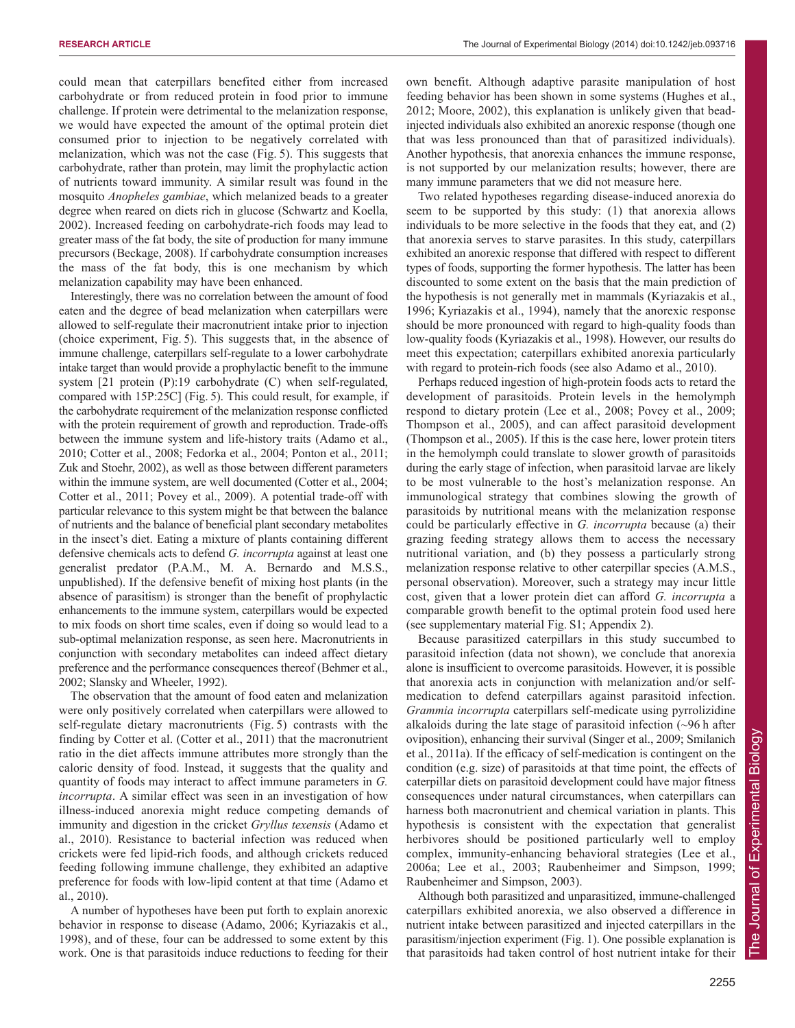could mean that caterpillars benefited either from increased carbohydrate or from reduced protein in food prior to immune challenge. If protein were detrimental to the melanization response, we would have expected the amount of the optimal protein diet consumed prior to injection to be negatively correlated with melanization, which was not the case (Fig. 5). This suggests that carbohydrate, rather than protein, may limit the prophylactic action of nutrients toward immunity. A similar result was found in the mosquito *Anopheles gambiae*, which melanized beads to a greater degree when reared on diets rich in glucose (Schwartz and Koella, 2002). Increased feeding on carbohydrate-rich foods may lead to greater mass of the fat body, the site of production for many immune precursors (Beckage, 2008). If carbohydrate consumption increases the mass of the fat body, this is one mechanism by which melanization capability may have been enhanced.

Interestingly, there was no correlation between the amount of food eaten and the degree of bead melanization when caterpillars were allowed to self-regulate their macronutrient intake prior to injection (choice experiment, Fig. 5). This suggests that, in the absence of immune challenge, caterpillars self-regulate to a lower carbohydrate intake target than would provide a prophylactic benefit to the immune system [21 protein (P):19 carbohydrate (C) when self-regulated, compared with 15P:25C] (Fig. 5). This could result, for example, if the carbohydrate requirement of the melanization response conflicted with the protein requirement of growth and reproduction. Trade-offs between the immune system and life-history traits (Adamo et al., 2010; Cotter et al., 2008; Fedorka et al., 2004; Ponton et al., 2011; Zuk and Stoehr, 2002), as well as those between different parameters within the immune system, are well documented (Cotter et al., 2004; Cotter et al., 2011; Povey et al., 2009). A potential trade-off with particular relevance to this system might be that between the balance of nutrients and the balance of beneficial plant secondary metabolites in the insect's diet. Eating a mixture of plants containing different defensive chemicals acts to defend *G. incorrupta* against at least one generalist predator (P.A.M., M. A. Bernardo and M.S.S., unpublished). If the defensive benefit of mixing host plants (in the absence of parasitism) is stronger than the benefit of prophylactic enhancements to the immune system, caterpillars would be expected to mix foods on short time scales, even if doing so would lead to a sub-optimal melanization response, as seen here. Macronutrients in conjunction with secondary metabolites can indeed affect dietary preference and the performance consequences thereof (Behmer et al., 2002; Slansky and Wheeler, 1992).

The observation that the amount of food eaten and melanization were only positively correlated when caterpillars were allowed to self-regulate dietary macronutrients (Fig. 5) contrasts with the finding by Cotter et al. (Cotter et al., 2011) that the macronutrient ratio in the diet affects immune attributes more strongly than the caloric density of food. Instead, it suggests that the quality and quantity of foods may interact to affect immune parameters in *G. incorrupta*. A similar effect was seen in an investigation of how illness-induced anorexia might reduce competing demands of immunity and digestion in the cricket *Gryllus texensis* (Adamo et al., 2010). Resistance to bacterial infection was reduced when crickets were fed lipid-rich foods, and although crickets reduced feeding following immune challenge, they exhibited an adaptive preference for foods with low-lipid content at that time (Adamo et al., 2010).

A number of hypotheses have been put forth to explain anorexic behavior in response to disease (Adamo, 2006; Kyriazakis et al., 1998), and of these, four can be addressed to some extent by this work. One is that parasitoids induce reductions to feeding for their own benefit. Although adaptive parasite manipulation of host feeding behavior has been shown in some systems (Hughes et al., 2012; Moore, 2002), this explanation is unlikely given that beadinjected individuals also exhibited an anorexic response (though one that was less pronounced than that of parasitized individuals). Another hypothesis, that anorexia enhances the immune response, is not supported by our melanization results; however, there are many immune parameters that we did not measure here.

Two related hypotheses regarding disease-induced anorexia do seem to be supported by this study: (1) that anorexia allows individuals to be more selective in the foods that they eat, and (2) that anorexia serves to starve parasites. In this study, caterpillars exhibited an anorexic response that differed with respect to different types of foods, supporting the former hypothesis. The latter has been discounted to some extent on the basis that the main prediction of the hypothesis is not generally met in mammals (Kyriazakis et al., 1996; Kyriazakis et al., 1994), namely that the anorexic response should be more pronounced with regard to high-quality foods than low-quality foods (Kyriazakis et al., 1998). However, our results do meet this expectation; caterpillars exhibited anorexia particularly with regard to protein-rich foods (see also Adamo et al., 2010).

Perhaps reduced ingestion of high-protein foods acts to retard the development of parasitoids. Protein levels in the hemolymph respond to dietary protein (Lee et al., 2008; Povey et al., 2009; Thompson et al., 2005), and can affect parasitoid development (Thompson et al., 2005). If this is the case here, lower protein titers in the hemolymph could translate to slower growth of parasitoids during the early stage of infection, when parasitoid larvae are likely to be most vulnerable to the host's melanization response. An immunological strategy that combines slowing the growth of parasitoids by nutritional means with the melanization response could be particularly effective in *G. incorrupta* because (a) their grazing feeding strategy allows them to access the necessary nutritional variation, and (b) they possess a particularly strong melanization response relative to other caterpillar species (A.M.S., personal observation). Moreover, such a strategy may incur little cost, given that a lower protein diet can afford *G. incorrupta* a comparable growth benefit to the optimal protein food used here (see supplementary material Fig. S1; Appendix 2).

Because parasitized caterpillars in this study succumbed to parasitoid infection (data not shown), we conclude that anorexia alone is insufficient to overcome parasitoids. However, it is possible that anorexia acts in conjunction with melanization and/or selfmedication to defend caterpillars against parasitoid infection. *Grammia incorrupta* caterpillars self-medicate using pyrrolizidine alkaloids during the late stage of parasitoid infection  $(\sim]96$  h after oviposition), enhancing their survival (Singer et al., 2009; Smilanich et al., 2011a). If the efficacy of self-medication is contingent on the condition (e.g. size) of parasitoids at that time point, the effects of caterpillar diets on parasitoid development could have major fitness consequences under natural circumstances, when caterpillars can harness both macronutrient and chemical variation in plants. This hypothesis is consistent with the expectation that generalist herbivores should be positioned particularly well to employ complex, immunity-enhancing behavioral strategies (Lee et al., 2006a; Lee et al., 2003; Raubenheimer and Simpson, 1999; Raubenheimer and Simpson, 2003).

Although both parasitized and unparasitized, immune-challenged caterpillars exhibited anorexia, we also observed a difference in nutrient intake between parasitized and injected caterpillars in the parasitism/injection experiment (Fig. 1). One possible explanation is that parasitoids had taken control of host nutrient intake for their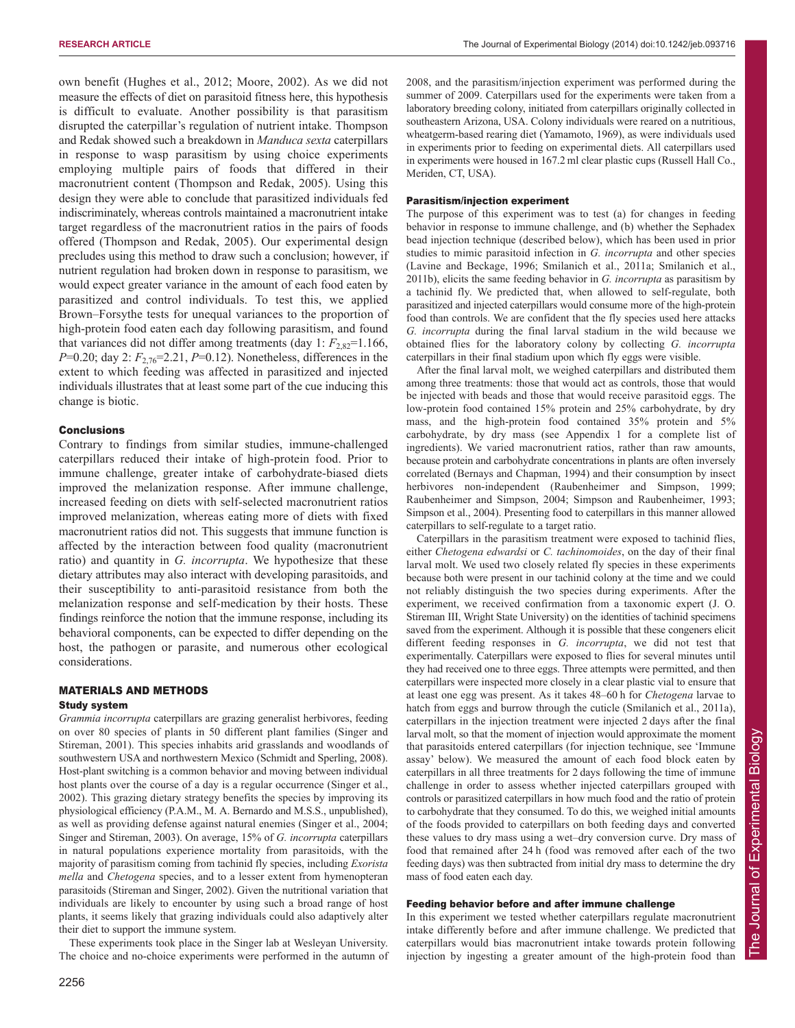own benefit (Hughes et al., 2012; Moore, 2002). As we did not measure the effects of diet on parasitoid fitness here, this hypothesis is difficult to evaluate. Another possibility is that parasitism disrupted the caterpillar's regulation of nutrient intake. Thompson and Redak showed such a breakdown in *Manduca sexta* caterpillars in response to wasp parasitism by using choice experiments employing multiple pairs of foods that differed in their macronutrient content (Thompson and Redak, 2005). Using this design they were able to conclude that parasitized individuals fed indiscriminately, whereas controls maintained a macronutrient intake target regardless of the macronutrient ratios in the pairs of foods offered (Thompson and Redak, 2005). Our experimental design precludes using this method to draw such a conclusion; however, if nutrient regulation had broken down in response to parasitism, we would expect greater variance in the amount of each food eaten by parasitized and control individuals. To test this, we applied Brown–Forsythe tests for unequal variances to the proportion of high-protein food eaten each day following parasitism, and found that variances did not differ among treatments (day  $1: F_{2,82}=1.166$ , *P*=0.20; day 2:  $F_{2,76}$ =2.21, *P*=0.12). Nonetheless, differences in the extent to which feeding was affected in parasitized and injected individuals illustrates that at least some part of the cue inducing this change is biotic.

# Conclusions

Contrary to findings from similar studies, immune-challenged caterpillars reduced their intake of high-protein food. Prior to immune challenge, greater intake of carbohydrate-biased diets improved the melanization response. After immune challenge, increased feeding on diets with self-selected macronutrient ratios improved melanization, whereas eating more of diets with fixed macronutrient ratios did not. This suggests that immune function is affected by the interaction between food quality (macronutrient ratio) and quantity in *G. incorrupta*. We hypothesize that these dietary attributes may also interact with developing parasitoids, and their susceptibility to anti-parasitoid resistance from both the melanization response and self-medication by their hosts. These findings reinforce the notion that the immune response, including its behavioral components, can be expected to differ depending on the host, the pathogen or parasite, and numerous other ecological considerations.

# MATERIALS AND METHODS

# Study system

*Grammia incorrupta* caterpillars are grazing generalist herbivores, feeding on over 80 species of plants in 50 different plant families (Singer and Stireman, 2001). This species inhabits arid grasslands and woodlands of southwestern USA and northwestern Mexico (Schmidt and Sperling, 2008). Host-plant switching is a common behavior and moving between individual host plants over the course of a day is a regular occurrence (Singer et al., 2002). This grazing dietary strategy benefits the species by improving its physiological efficiency (P.A.M., M. A. Bernardo and M.S.S., unpublished), as well as providing defense against natural enemies (Singer et al., 2004; Singer and Stireman, 2003). On average, 15% of *G. incorrupta* caterpillars in natural populations experience mortality from parasitoids, with the majority of parasitism coming from tachinid fly species, including *Exorista mella* and *Chetogena* species, and to a lesser extent from hymenopteran parasitoids (Stireman and Singer, 2002). Given the nutritional variation that individuals are likely to encounter by using such a broad range of host plants, it seems likely that grazing individuals could also adaptively alter their diet to support the immune system.

These experiments took place in the Singer lab at Wesleyan University. The choice and no-choice experiments were performed in the autumn of 2008, and the parasitism/injection experiment was performed during the summer of 2009. Caterpillars used for the experiments were taken from a laboratory breeding colony, initiated from caterpillars originally collected in southeastern Arizona, USA. Colony individuals were reared on a nutritious, wheatgerm-based rearing diet (Yamamoto, 1969), as were individuals used in experiments prior to feeding on experimental diets. All caterpillars used in experiments were housed in 167.2 ml clear plastic cups (Russell Hall Co., Meriden, CT, USA).

## Parasitism/injection experiment

The purpose of this experiment was to test (a) for changes in feeding behavior in response to immune challenge, and (b) whether the Sephadex bead injection technique (described below), which has been used in prior studies to mimic parasitoid infection in *G. incorrupta* and other species (Lavine and Beckage, 1996; Smilanich et al., 2011a; Smilanich et al., 2011b), elicits the same feeding behavior in *G. incorrupta* as parasitism by a tachinid fly. We predicted that, when allowed to self-regulate, both parasitized and injected caterpillars would consume more of the high-protein food than controls. We are confident that the fly species used here attacks *G. incorrupta* during the final larval stadium in the wild because we obtained flies for the laboratory colony by collecting *G. incorrupta* caterpillars in their final stadium upon which fly eggs were visible.

After the final larval molt, we weighed caterpillars and distributed them among three treatments: those that would act as controls, those that would be injected with beads and those that would receive parasitoid eggs. The low-protein food contained 15% protein and 25% carbohydrate, by dry mass, and the high-protein food contained 35% protein and 5% carbohydrate, by dry mass (see Appendix 1 for a complete list of ingredients). We varied macronutrient ratios, rather than raw amounts, because protein and carbohydrate concentrations in plants are often inversely correlated (Bernays and Chapman, 1994) and their consumption by insect herbivores non-independent (Raubenheimer and Simpson, 1999; Raubenheimer and Simpson, 2004; Simpson and Raubenheimer, 1993; Simpson et al., 2004). Presenting food to caterpillars in this manner allowed caterpillars to self-regulate to a target ratio.

Caterpillars in the parasitism treatment were exposed to tachinid flies, either *Chetogena edwardsi* or *C. tachinomoides*, on the day of their final larval molt. We used two closely related fly species in these experiments because both were present in our tachinid colony at the time and we could not reliably distinguish the two species during experiments. After the experiment, we received confirmation from a taxonomic expert (J. O. Stireman III, Wright State University) on the identities of tachinid specimens saved from the experiment. Although it is possible that these congeners elicit different feeding responses in *G. incorrupta*, we did not test that experimentally. Caterpillars were exposed to flies for several minutes until they had received one to three eggs. Three attempts were permitted, and then caterpillars were inspected more closely in a clear plastic vial to ensure that at least one egg was present. As it takes 48–60 h for *Chetogena* larvae to hatch from eggs and burrow through the cuticle (Smilanich et al., 2011a), caterpillars in the injection treatment were injected 2 days after the final larval molt, so that the moment of injection would approximate the moment that parasitoids entered caterpillars (for injection technique, see 'Immune assay' below). We measured the amount of each food block eaten by caterpillars in all three treatments for 2 days following the time of immune challenge in order to assess whether injected caterpillars grouped with controls or parasitized caterpillars in how much food and the ratio of protein to carbohydrate that they consumed. To do this, we weighed initial amounts of the foods provided to caterpillars on both feeding days and converted these values to dry mass using a wet–dry conversion curve. Dry mass of food that remained after 24 h (food was removed after each of the two feeding days) was then subtracted from initial dry mass to determine the dry mass of food eaten each day.

# Feeding behavior before and after immune challenge

In this experiment we tested whether caterpillars regulate macronutrient intake differently before and after immune challenge. We predicted that caterpillars would bias macronutrient intake towards protein following injection by ingesting a greater amount of the high-protein food than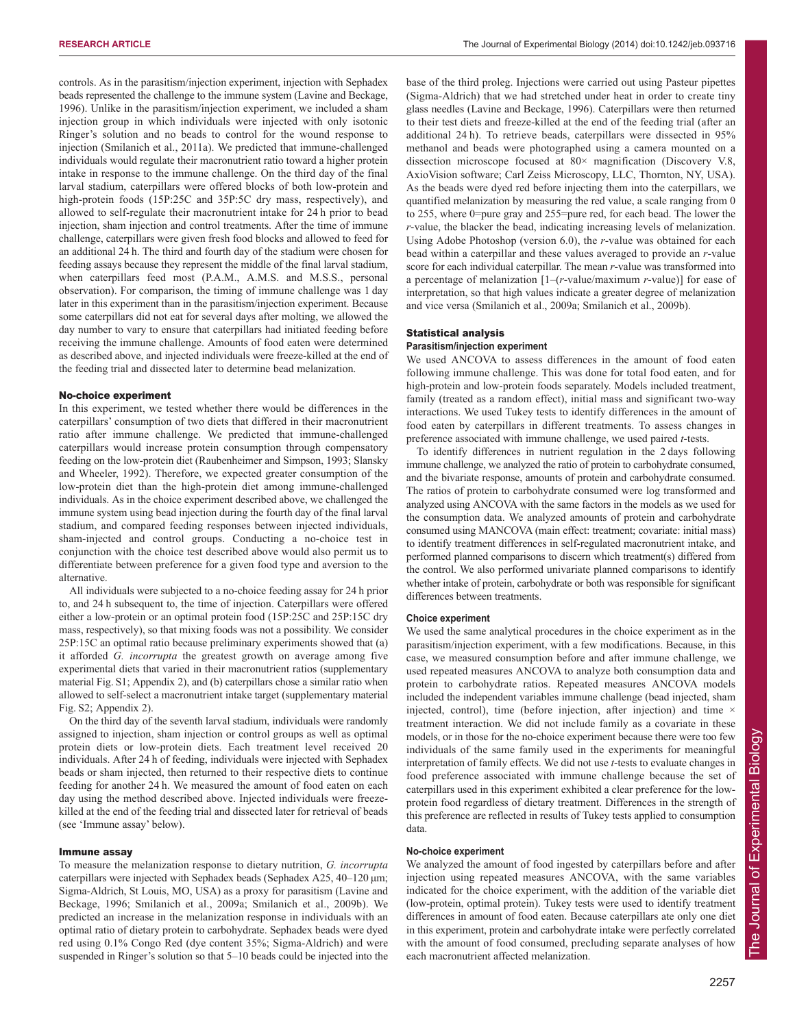controls. As in the parasitism/injection experiment, injection with Sephadex beads represented the challenge to the immune system (Lavine and Beckage, 1996). Unlike in the parasitism/injection experiment, we included a sham injection group in which individuals were injected with only isotonic Ringer's solution and no beads to control for the wound response to injection (Smilanich et al., 2011a). We predicted that immune-challenged individuals would regulate their macronutrient ratio toward a higher protein intake in response to the immune challenge. On the third day of the final larval stadium, caterpillars were offered blocks of both low-protein and high-protein foods (15P:25C and 35P:5C dry mass, respectively), and allowed to self-regulate their macronutrient intake for 24 h prior to bead injection, sham injection and control treatments. After the time of immune challenge, caterpillars were given fresh food blocks and allowed to feed for an additional 24 h. The third and fourth day of the stadium were chosen for feeding assays because they represent the middle of the final larval stadium, when caterpillars feed most (P.A.M., A.M.S. and M.S.S., personal observation). For comparison, the timing of immune challenge was 1 day later in this experiment than in the parasitism/injection experiment. Because some caterpillars did not eat for several days after molting, we allowed the day number to vary to ensure that caterpillars had initiated feeding before receiving the immune challenge. Amounts of food eaten were determined as described above, and injected individuals were freeze-killed at the end of the feeding trial and dissected later to determine bead melanization.

#### No-choice experiment

In this experiment, we tested whether there would be differences in the caterpillars' consumption of two diets that differed in their macronutrient ratio after immune challenge. We predicted that immune-challenged caterpillars would increase protein consumption through compensatory feeding on the low-protein diet (Raubenheimer and Simpson, 1993; Slansky and Wheeler, 1992). Therefore, we expected greater consumption of the low-protein diet than the high-protein diet among immune-challenged individuals. As in the choice experiment described above, we challenged the immune system using bead injection during the fourth day of the final larval stadium, and compared feeding responses between injected individuals, sham-injected and control groups. Conducting a no-choice test in conjunction with the choice test described above would also permit us to differentiate between preference for a given food type and aversion to the alternative.

All individuals were subjected to a no-choice feeding assay for 24 h prior to, and 24 h subsequent to, the time of injection. Caterpillars were offered either a low-protein or an optimal protein food (15P:25C and 25P:15C dry mass, respectively), so that mixing foods was not a possibility. We consider 25P:15C an optimal ratio because preliminary experiments showed that (a) it afforded *G. incorrupta* the greatest growth on average among five experimental diets that varied in their macronutrient ratios (supplementary material Fig. S1; Appendix 2), and (b) caterpillars chose a similar ratio when allowed to self-select a macronutrient intake target (supplementary material Fig. S2; Appendix 2).

On the third day of the seventh larval stadium, individuals were randomly assigned to injection, sham injection or control groups as well as optimal protein diets or low-protein diets. Each treatment level received 20 individuals. After 24 h of feeding, individuals were injected with Sephadex beads or sham injected, then returned to their respective diets to continue feeding for another 24 h. We measured the amount of food eaten on each day using the method described above. Injected individuals were freezekilled at the end of the feeding trial and dissected later for retrieval of beads (see 'Immune assay' below).

#### Immune assay

To measure the melanization response to dietary nutrition, *G. incorrupta* caterpillars were injected with Sephadex beads (Sephadex A25, 40–120 μm; Sigma-Aldrich, St Louis, MO, USA) as a proxy for parasitism (Lavine and Beckage, 1996; Smilanich et al., 2009a; Smilanich et al., 2009b). We predicted an increase in the melanization response in individuals with an optimal ratio of dietary protein to carbohydrate. Sephadex beads were dyed red using 0.1% Congo Red (dye content 35%; Sigma-Aldrich) and were suspended in Ringer's solution so that 5–10 beads could be injected into the base of the third proleg. Injections were carried out using Pasteur pipettes (Sigma-Aldrich) that we had stretched under heat in order to create tiny glass needles (Lavine and Beckage, 1996). Caterpillars were then returned to their test diets and freeze-killed at the end of the feeding trial (after an additional 24 h). To retrieve beads, caterpillars were dissected in 95% methanol and beads were photographed using a camera mounted on a dissection microscope focused at 80× magnification (Discovery V.8, AxioVision software; Carl Zeiss Microscopy, LLC, Thornton, NY, USA). As the beads were dyed red before injecting them into the caterpillars, we quantified melanization by measuring the red value, a scale ranging from 0 to 255, where 0=pure gray and 255=pure red, for each bead. The lower the *r*-value, the blacker the bead, indicating increasing levels of melanization. Using Adobe Photoshop (version 6.0), the *r*-value was obtained for each bead within a caterpillar and these values averaged to provide an *r*-value score for each individual caterpillar. The mean *r*-value was transformed into a percentage of melanization [1–(*r*-value/maximum *r*-value)] for ease of interpretation, so that high values indicate a greater degree of melanization and vice versa (Smilanich et al., 2009a; Smilanich et al., 2009b).

# Statistical analysis

# **Parasitism/injection experiment**

We used ANCOVA to assess differences in the amount of food eaten following immune challenge. This was done for total food eaten, and for high-protein and low-protein foods separately. Models included treatment, family (treated as a random effect), initial mass and significant two-way interactions. We used Tukey tests to identify differences in the amount of food eaten by caterpillars in different treatments. To assess changes in preference associated with immune challenge, we used paired *t*-tests.

To identify differences in nutrient regulation in the 2 days following immune challenge, we analyzed the ratio of protein to carbohydrate consumed, and the bivariate response, amounts of protein and carbohydrate consumed. The ratios of protein to carbohydrate consumed were log transformed and analyzed using ANCOVA with the same factors in the models as we used for the consumption data. We analyzed amounts of protein and carbohydrate consumed using MANCOVA (main effect: treatment; covariate: initial mass) to identify treatment differences in self-regulated macronutrient intake, and performed planned comparisons to discern which treatment(s) differed from the control. We also performed univariate planned comparisons to identify whether intake of protein, carbohydrate or both was responsible for significant differences between treatments.

# **Choice experiment**

We used the same analytical procedures in the choice experiment as in the parasitism/injection experiment, with a few modifications. Because, in this case, we measured consumption before and after immune challenge, we used repeated measures ANCOVA to analyze both consumption data and protein to carbohydrate ratios. Repeated measures ANCOVA models included the independent variables immune challenge (bead injected, sham injected, control), time (before injection, after injection) and time  $\times$ treatment interaction. We did not include family as a covariate in these models, or in those for the no-choice experiment because there were too few individuals of the same family used in the experiments for meaningful interpretation of family effects. We did not use *t*-tests to evaluate changes in food preference associated with immune challenge because the set of caterpillars used in this experiment exhibited a clear preference for the lowprotein food regardless of dietary treatment. Differences in the strength of this preference are reflected in results of Tukey tests applied to consumption data.

#### **No-choice experiment**

We analyzed the amount of food ingested by caterpillars before and after injection using repeated measures ANCOVA, with the same variables indicated for the choice experiment, with the addition of the variable diet (low-protein, optimal protein). Tukey tests were used to identify treatment differences in amount of food eaten. Because caterpillars ate only one diet in this experiment, protein and carbohydrate intake were perfectly correlated with the amount of food consumed, precluding separate analyses of how each macronutrient affected melanization.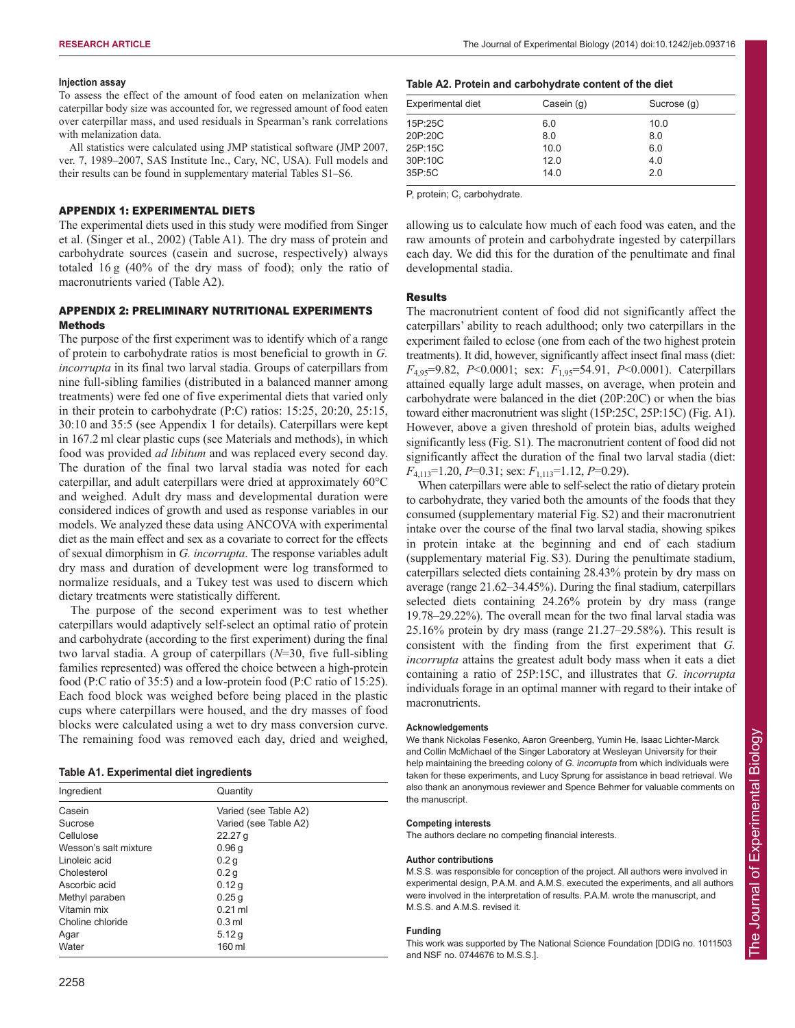## **Injection assay**

To assess the effect of the amount of food eaten on melanization when caterpillar body size was accounted for, we regressed amount of food eaten over caterpillar mass, and used residuals in Spearman's rank correlations with melanization data.

All statistics were calculated using JMP statistical software (JMP 2007, ver. 7, 1989–2007, SAS Institute Inc., Cary, NC, USA). Full models and their results can be found in supplementary material Tables S1–S6.

#### APPENDIX 1: EXPERIMENTAL DIETS

The experimental diets used in this study were modified from Singer et al. (Singer et al., 2002) (Table A1). The dry mass of protein and carbohydrate sources (casein and sucrose, respectively) always totaled 16 g (40% of the dry mass of food); only the ratio of macronutrients varied (Table A2).

# APPENDIX 2: PRELIMINARY NUTRITIONAL EXPERIMENTS Methods

The purpose of the first experiment was to identify which of a range of protein to carbohydrate ratios is most beneficial to growth in *G. incorrupta* in its final two larval stadia. Groups of caterpillars from nine full-sibling families (distributed in a balanced manner among treatments) were fed one of five experimental diets that varied only in their protein to carbohydrate (P:C) ratios: 15:25, 20:20, 25:15, 30:10 and 35:5 (see Appendix 1 for details). Caterpillars were kept in 167.2 ml clear plastic cups (see Materials and methods), in which food was provided *ad libitum* and was replaced every second day. The duration of the final two larval stadia was noted for each caterpillar, and adult caterpillars were dried at approximately 60°C and weighed. Adult dry mass and developmental duration were considered indices of growth and used as response variables in our models. We analyzed these data using ANCOVA with experimental diet as the main effect and sex as a covariate to correct for the effects of sexual dimorphism in *G. incorrupta*. The response variables adult dry mass and duration of development were log transformed to normalize residuals, and a Tukey test was used to discern which dietary treatments were statistically different.

The purpose of the second experiment was to test whether caterpillars would adaptively self-select an optimal ratio of protein and carbohydrate (according to the first experiment) during the final two larval stadia. A group of caterpillars (*N*=30, five full-sibling families represented) was offered the choice between a high-protein food (P:C ratio of 35:5) and a low-protein food (P:C ratio of 15:25). Each food block was weighed before being placed in the plastic cups where caterpillars were housed, and the dry masses of food blocks were calculated using a wet to dry mass conversion curve. The remaining food was removed each day, dried and weighed,

| Table A1. Experimental diet ingredients |  |
|-----------------------------------------|--|
|                                         |  |

| Ingredient            | Quantity              |  |  |
|-----------------------|-----------------------|--|--|
| Casein                | Varied (see Table A2) |  |  |
| Sucrose               | Varied (see Table A2) |  |  |
| Cellulose             | 22.27 <sub>q</sub>    |  |  |
| Wesson's salt mixture | 0.96q                 |  |  |
| Linoleic acid         | 0.2 <sub>q</sub>      |  |  |
| Cholesterol           | 0.2 <sub>q</sub>      |  |  |
| Ascorbic acid         | 0.12q                 |  |  |
| Methyl paraben        | 0.25q                 |  |  |
| Vitamin mix           | $0.21$ ml             |  |  |
| Choline chloride      | $0.3$ ml              |  |  |
| Agar                  | 5.12q                 |  |  |
| Water                 | 160 ml                |  |  |

### **Table A2. Protein and carbohydrate content of the diet**

| Experimental diet | Casein (g) | Sucrose (g) |
|-------------------|------------|-------------|
| 15P:25C           | 6.0        | 10.0        |
| 20P:20C           | 8.0        | 8.0         |
| 25P:15C           | 10.0       | 6.0         |
| 30P:10C           | 12.0       | 4.0         |
| 35P:5C            | 14.0       | 2.0         |

P, protein; C, carbohydrate.

allowing us to calculate how much of each food was eaten, and the raw amounts of protein and carbohydrate ingested by caterpillars each day. We did this for the duration of the penultimate and final developmental stadia.

# Results

The macronutrient content of food did not significantly affect the caterpillars' ability to reach adulthood; only two caterpillars in the experiment failed to eclose (one from each of the two highest protein treatments). It did, however, significantly affect insect final mass (diet: *F*4,95=9.82, *P*<0.0001; sex: *F*1,95=54.91, *P*<0.0001). Caterpillars attained equally large adult masses, on average, when protein and carbohydrate were balanced in the diet (20P:20C) or when the bias toward either macronutrient was slight (15P:25C, 25P:15C) (Fig. A1). However, above a given threshold of protein bias, adults weighed significantly less (Fig. S1). The macronutrient content of food did not significantly affect the duration of the final two larval stadia (diet: *F*4,113=1.20, *P*=0.31; sex: *F*1,113=1.12, *P*=0.29).

When caterpillars were able to self-select the ratio of dietary protein to carbohydrate, they varied both the amounts of the foods that they consumed (supplementary material Fig. S2) and their macronutrient intake over the course of the final two larval stadia, showing spikes in protein intake at the beginning and end of each stadium (supplementary material Fig. S3). During the penultimate stadium, caterpillars selected diets containing 28.43% protein by dry mass on average (range 21.62–34.45%). During the final stadium, caterpillars selected diets containing 24.26% protein by dry mass (range 19.78–29.22%). The overall mean for the two final larval stadia was 25.16% protein by dry mass (range 21.27–29.58%). This result is consistent with the finding from the first experiment that *G. incorrupta* attains the greatest adult body mass when it eats a diet containing a ratio of 25P:15C, and illustrates that *G. incorrupta* individuals forage in an optimal manner with regard to their intake of macronutrients.

# **Acknowledgements**

We thank Nickolas Fesenko, Aaron Greenberg, Yumin He, Isaac Lichter-Marck and Collin McMichael of the Singer Laboratory at Wesleyan University for their help maintaining the breeding colony of *G. incorrupta* from which individuals were taken for these experiments, and Lucy Sprung for assistance in bead retrieval. We also thank an anonymous reviewer and Spence Behmer for valuable comments on the manuscript.

#### **Competing interests**

The authors declare no competing financial interests.

### **Author contributions**

M.S.S. was responsible for conception of the project. All authors were involved in experimental design, P.A.M. and A.M.S. executed the experiments, and all authors were involved in the interpretation of results. P.A.M. wrote the manuscript, and M.S.S. and A.M.S. revised it.

## **Funding**

This work was supported by The National Science Foundation [DDIG no. 1011503 and NSF no. 0744676 to M.S.S.].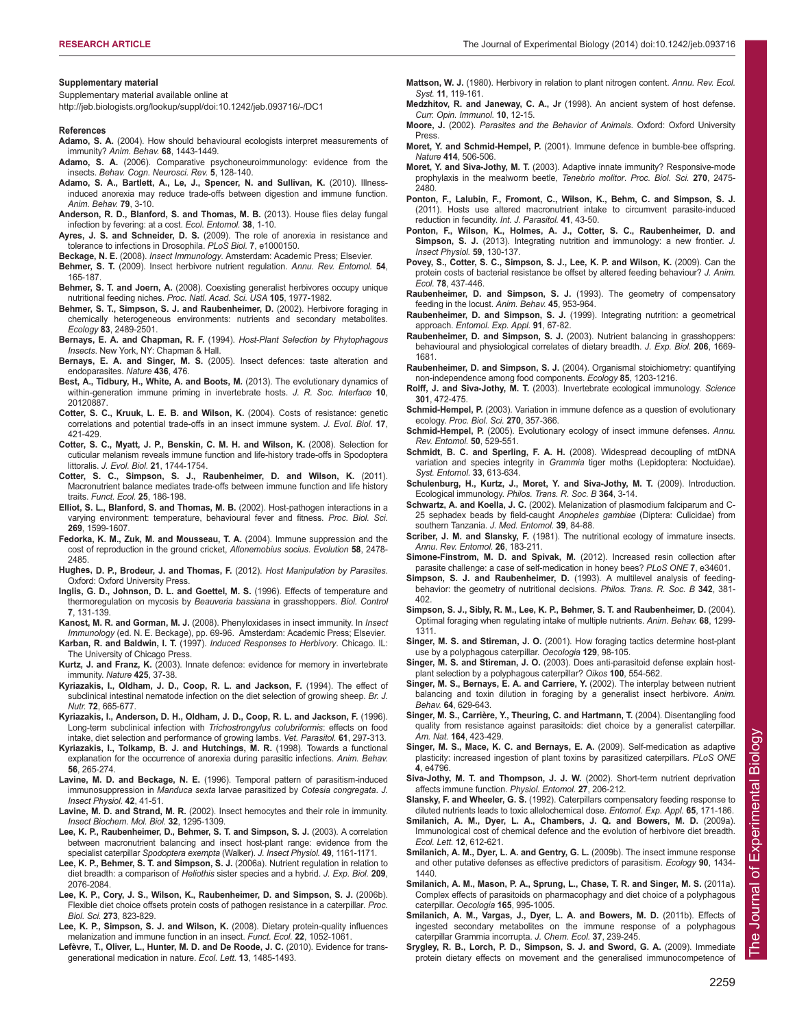#### **Supplementary material**

Supplementary material available online at

http://jeb.biologists.org/lookup/suppl/doi:10.1242/jeb.093716/-/DC1

#### **References**

- **Adamo, S. A.** (2004). How should behavioural ecologists interpret measurements of immunity? *Anim. Behav.* **68**, 1443-1449.
- **Adamo, S. A.** (2006). Comparative psychoneuroimmunology: evidence from the insects. *Behav. Cogn. Neurosci. Rev.* **5**, 128-140.
- **Adamo, S. A., Bartlett, A., Le, J., Spencer, N. and Sullivan, K.** (2010). Illnessinduced anorexia may reduce trade-offs between digestion and immune function. *Anim. Behav.* **79**, 3-10.
- **Anderson, R. D., Blanford, S. and Thomas, M. B.** (2013). House flies delay fungal infection by fevering: at a cost. *Ecol. Entomol.* **38**, 1-10.
- **Ayres, J. S. and Schneider, D. S.** (2009). The role of anorexia in resistance and tolerance to infections in Drosophila. *PLoS Biol.* **7**, e1000150.
- **Beckage, N. E.** (2008). *Insect Immunology*. Amsterdam: Academic Press; Elsevier.
- **Behmer, S. T.** (2009). Insect herbivore nutrient regulation. *Annu. Rev. Entomol.* **54**, 165-187.
- **Behmer, S. T. and Joern, A.** (2008). Coexisting generalist herbivores occupy unique nutritional feeding niches. *Proc. Natl. Acad. Sci. USA* **105**, 1977-1982.
- **Behmer, S. T., Simpson, S. J. and Raubenheimer, D.** (2002). Herbivore foraging in chemically heterogeneous environments: nutrients and secondary metabolites. *Ecology* **83**, 2489-2501.
- **Bernays, E. A. and Chapman, R. F.** (1994). *Host-Plant Selection by Phytophagous Insects*. New York, NY: Chapman & Hall.
- **Bernays, E. A. and Singer, M. S.** (2005). Insect defences: taste alteration and endoparasites. *Nature* **436**, 476.
- **Best, A., Tidbury, H., White, A. and Boots, M.** (2013). The evolutionary dynamics of within-generation immune priming in invertebrate hosts. *J. R. Soc. Interface* **10**, 20120887.
- **Cotter, S. C., Kruuk, L. E. B. and Wilson, K.** (2004). Costs of resistance: genetic correlations and potential trade-offs in an insect immune system. *J. Evol. Biol.* **17**, 421-429.
- **Cotter, S. C., Myatt, J. P., Benskin, C. M. H. and Wilson, K.** (2008). Selection for cuticular melanism reveals immune function and life-history trade-offs in Spodoptera littoralis. *J. Evol. Biol.* **21**, 1744-1754.
- **Cotter, S. C., Simpson, S. J., Raubenheimer, D. and Wilson, K.** (2011). Macronutrient balance mediates trade-offs between immune function and life history traits. *Funct. Ecol.* **25**, 186-198.
- **Elliot, S. L., Blanford, S. and Thomas, M. B.** (2002). Host-pathogen interactions in a varying environment: temperature, behavioural fever and fitness. *Proc. Biol. Sci.* **269**, 1599-1607.
- **Fedorka, K. M., Zuk, M. and Mousseau, T. A.** (2004). Immune suppression and the cost of reproduction in the ground cricket, *Allonemobius socius*. *Evolution* **58**, 2478- 2485.
- **Hughes, D. P., Brodeur, J. and Thomas, F.** (2012). *Host Manipulation by Parasites*. Oxford: Oxford University Press.
- **Inglis, G. D., Johnson, D. L. and Goettel, M. S.** (1996). Effects of temperature and thermoregulation on mycosis by *Beauveria bassiana* in grasshoppers. *Biol. Control* **7**, 131-139.
- **Kanost, M. R. and Gorman, M. J.** (2008). Phenyloxidases in insect immunity. In *Insect Immunology* (ed. N. E. Beckage), pp. 69-96. Amsterdam: Academic Press; Elsevier.
- **Karban, R. and Baldwin, I. T.** (1997). *Induced Responses to Herbivory*. Chicago. IL: The University of Chicago Press.
- **Kurtz, J. and Franz, K.** (2003). Innate defence: evidence for memory in invertebrate immunity. *Nature* **425**, 37-38.
- **Kyriazakis, I., Oldham, J. D., Coop, R. L. and Jackson, F.** (1994). The effect of subclinical intestinal nematode infection on the diet selection of growing sheep. *Br. J. Nutr.* **72**, 665-677.
- **Kyriazakis, I., Anderson, D. H., Oldham, J. D., Coop, R. L. and Jackson, F.** (1996). Long-term subclinical infection with *Trichostrongylus colubriformis*: effects on food intake, diet selection and performance of growing lambs. *Vet. Parasitol.* **61**, 297-313.
- **Kyriazakis, I., Tolkamp, B. J. and Hutchings, M. R.** (1998). Towards a functional explanation for the occurrence of anorexia during parasitic infections. *Anim. Behav.* **56**, 265-274.
- **Lavine, M. D. and Beckage, N. E.** (1996). Temporal pattern of parasitism-induced immunosuppression in *Manduca sexta* larvae parasitized by *Cotesia congregata*. *J. Insect Physiol.* **42**, 41-51.
- **Lavine, M. D. and Strand, M. R.** (2002). Insect hemocytes and their role in immunity. *Insect Biochem. Mol. Biol.* **32**, 1295-1309.
- **Lee, K. P., Raubenheimer, D., Behmer, S. T. and Simpson, S. J.** (2003). A correlation between macronutrient balancing and insect host-plant range: evidence from the specialist caterpillar *Spodoptera exempta* (Walker). *J. Insect Physiol.* **49**, 1161-1171.
- **Lee, K. P., Behmer, S. T. and Simpson, S. J.** (2006a). Nutrient regulation in relation to diet breadth: a comparison of *Heliothis* sister species and a hybrid. *J. Exp. Biol.* **209**, 2076-2084.
- **Lee, K. P., Cory, J. S., Wilson, K., Raubenheimer, D. and Simpson, S. J.** (2006b). Flexible diet choice offsets protein costs of pathogen resistance in a caterpillar. *Proc. Biol. Sci.* **273**, 823-829.
- **Lee, K. P., Simpson, S. J. and Wilson, K.** (2008). Dietary protein-quality influences melanization and immune function in an insect. *Funct. Ecol.* **22**, 1052-1061.
- **Lefèvre, T., Oliver, L., Hunter, M. D. and De Roode, J. C.** (2010). Evidence for transgenerational medication in nature. *Ecol. Lett.* **13**, 1485-1493.
- **Mattson, W. J.** (1980). Herbivory in relation to plant nitrogen content. *Annu. Rev. Ecol. Syst.* **11**, 119-161.
- **Medzhitov, R. and Janeway, C. A., Jr** (1998). An ancient system of host defense. *Curr. Opin. Immunol.* **10**, 12-15.
- **Moore, J.** (2002). *Parasites and the Behavior of Animals*. Oxford: Oxford University Press.
- **Moret, Y. and Schmid-Hempel, P.** (2001). Immune defence in bumble-bee offspring. *Nature* **414**, 506-506.
- **Moret, Y. and Siva-Jothy, M. T.** (2003). Adaptive innate immunity? Responsive-mode prophylaxis in the mealworm beetle, *Tenebrio molitor*. *Proc. Biol. Sci.* **270**, 2475- 2480.
- **Ponton, F., Lalubin, F., Fromont, C., Wilson, K., Behm, C. and Simpson, S. J.** (2011). Hosts use altered macronutrient intake to circumvent parasite-induced reduction in fecundity. *Int. J. Parasitol.* **41**, 43-50.
- **Ponton, F., Wilson, K., Holmes, A. J., Cotter, S. C., Raubenheimer, D. and Simpson, S. J.** (2013). Integrating nutrition and immunology: a new frontier. *J. Insect Physiol.* **59**, 130-137.
- **Povey, S., Cotter, S. C., Simpson, S. J., Lee, K. P. and Wilson, K.** (2009). Can the protein costs of bacterial resistance be offset by altered feeding behaviour? *J. Anim. Ecol.* **78**, 437-446.
- **Raubenheimer, D. and Simpson, S. J.** (1993). The geometry of compensatory feeding in the locust. *Anim. Behav.* **45**, 953-964.
- **Raubenheimer, D. and Simpson, S. J.** (1999). Integrating nutrition: a geometrical approach. *Entomol. Exp. Appl.* **91**, 67-82.
- **Raubenheimer, D. and Simpson, S. J.** (2003). Nutrient balancing in grasshoppers: behavioural and physiological correlates of dietary breadth. *J. Exp. Biol.* **206**, 1669- 1681.
- **Raubenheimer, D. and Simpson, S. J.** (2004). Organismal stoichiometry: quantifying non-independence among food components. *Ecology* **85**, 1203-1216.
- **Rolff, J. and Siva-Jothy, M. T.** (2003). Invertebrate ecological immunology. *Science* **301**, 472-475.
- **Schmid-Hempel, P.** (2003). Variation in immune defence as a question of evolutionary ecology. *Proc. Biol. Sci.* **270**, 357-366.
- **Schmid-Hempel, P.** (2005). Evolutionary ecology of insect immune defenses. *Annu. Rev. Entomol.* **50**, 529-551.
- **Schmidt, B. C. and Sperling, F. A. H.** (2008). Widespread decoupling of mtDNA variation and species integrity in *Grammia* tiger moths (Lepidoptera: Noctuidae). *Syst. Entomol.* **33**, 613-634.
- **Schulenburg, H., Kurtz, J., Moret, Y. and Siva-Jothy, M. T.** (2009). Introduction. Ecological immunology. *Philos. Trans. R. Soc. B* **364**, 3-14.
- **Schwartz, A. and Koella, J. C.** (2002). Melanization of plasmodium falciparum and C-25 sephadex beads by field-caught *Anopheles gambiae* (Diptera: Culicidae) from southern Tanzania. *J. Med. Entomol.* **39**, 84-88.
- **Scriber, J. M. and Slansky, F.** (1981). The nutritional ecology of immature insects. *Annu. Rev. Entomol.* **26**, 183-211.
- **Simone-Finstrom, M. D. and Spivak, M.** (2012). Increased resin collection after parasite challenge: a case of self-medication in honey bees? *PLoS ONE* **7**, e34601.
- **Simpson, S. J. and Raubenheimer, D.** (1993). A multilevel analysis of feedingbehavior: the geometry of nutritional decisions. *Philos. Trans. R. Soc. B* **342**, 381- 402.
- **Simpson, S. J., Sibly, R. M., Lee, K. P., Behmer, S. T. and Raubenheimer, D.** (2004). Optimal foraging when regulating intake of multiple nutrients. *Anim. Behav.* **68**, 1299- 1311.
- **Singer, M. S. and Stireman, J. O.** (2001). How foraging tactics determine host-plant use by a polyphagous caterpillar. *Oecologia* **129**, 98-105.
- **Singer, M. S. and Stireman, J. O.** (2003). Does anti-parasitoid defense explain hostplant selection by a polyphagous caterpillar? *Oikos* **100**, 554-562.
- **Singer, M. S., Bernays, E. A. and Carriere, Y.** (2002). The interplay between nutrient balancing and toxin dilution in foraging by a generalist insect herbivore. *Anim. Behav.* **64**, 629-643.
- **Singer, M. S., Carrière, Y., Theuring, C. and Hartmann, T.** (2004). Disentangling food quality from resistance against parasitoids: diet choice by a generalist caterpillar. *Am. Nat.* **164**, 423-429.
- **Singer, M. S., Mace, K. C. and Bernays, E. A.** (2009). Self-medication as adaptive plasticity: increased ingestion of plant toxins by parasitized caterpillars. *PLoS ONE* **4**, e4796.
- **Siva-Jothy, M. T. and Thompson, J. J. W.** (2002). Short-term nutrient deprivation affects immune function. *Physiol. Entomol.* **27**, 206-212.
- **Slansky, F. and Wheeler, G. S.** (1992). Caterpillars compensatory feeding response to diluted nutrients leads to toxic allelochemical dose. *Entomol. Exp. Appl.* **65**, 171-186.
- **Smilanich, A. M., Dyer, L. A., Chambers, J. Q. and Bowers, M. D.** (2009a). Immunological cost of chemical defence and the evolution of herbivore diet breadth. *Ecol. Lett.* **12**, 612-621.
- **Smilanich, A. M., Dyer, L. A. and Gentry, G. L.** (2009b). The insect immune response and other putative defenses as effective predictors of parasitism. *Ecology* **90**, 1434- 1440.
- **Smilanich, A. M., Mason, P. A., Sprung, L., Chase, T. R. and Singer, M. S.** (2011a). Complex effects of parasitoids on pharmacophagy and diet choice of a polyphagous caterpillar. *Oecologia* **165**, 995-1005.
- **Smilanich, A. M., Vargas, J., Dyer, L. A. and Bowers, M. D.** (2011b). Effects of ingested secondary metabolites on the immune response of a polyphagous caterpillar Grammia incorrupta. *J. Chem. Ecol.* **37**, 239-245.
- **Srygley, R. B., Lorch, P. D., Simpson, S. J. and Sword, G. A.** (2009). Immediate protein dietary effects on movement and the generalised immunocompetence of